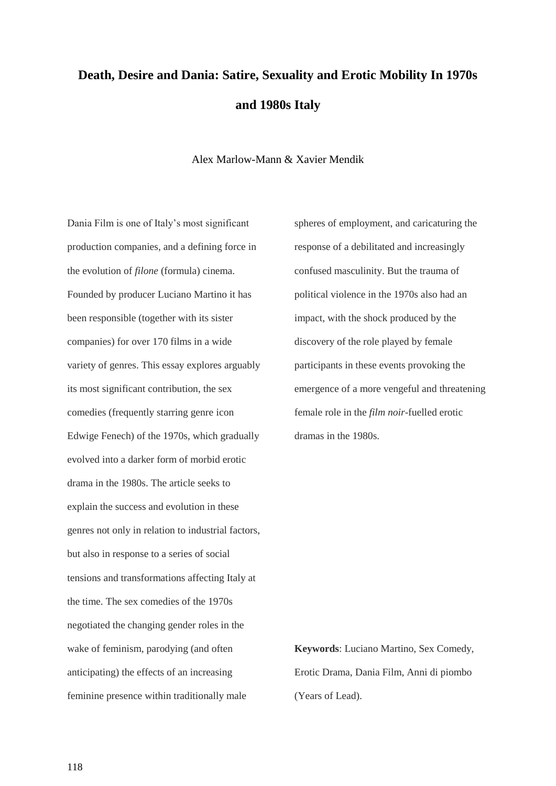# **Death, Desire and Dania: Satire, Sexuality and Erotic Mobility In 1970s and 1980s Italy**

Alex Marlow-Mann & Xavier Mendik

Dania Film is one of Italy's most significant production companies, and a defining force in the evolution of *filone* (formula) cinema. Founded by producer Luciano Martino it has been responsible (together with its sister companies) for over 170 films in a wide variety of genres. This essay explores arguably its most significant contribution, the sex comedies (frequently starring genre icon Edwige Fenech) of the 1970s, which gradually evolved into a darker form of morbid erotic drama in the 1980s. The article seeks to explain the success and evolution in these genres not only in relation to industrial factors, but also in response to a series of social tensions and transformations affecting Italy at the time. The sex comedies of the 1970s negotiated the changing gender roles in the wake of feminism, parodying (and often anticipating) the effects of an increasing feminine presence within traditionally male

spheres of employment, and caricaturing the response of a debilitated and increasingly confused masculinity. But the trauma of political violence in the 1970s also had an impact, with the shock produced by the discovery of the role played by female participants in these events provoking the emergence of a more vengeful and threatening female role in the *film noir*-fuelled erotic dramas in the 1980s.

**Keywords**: Luciano Martino, Sex Comedy, Erotic Drama, Dania Film, Anni di piombo (Years of Lead).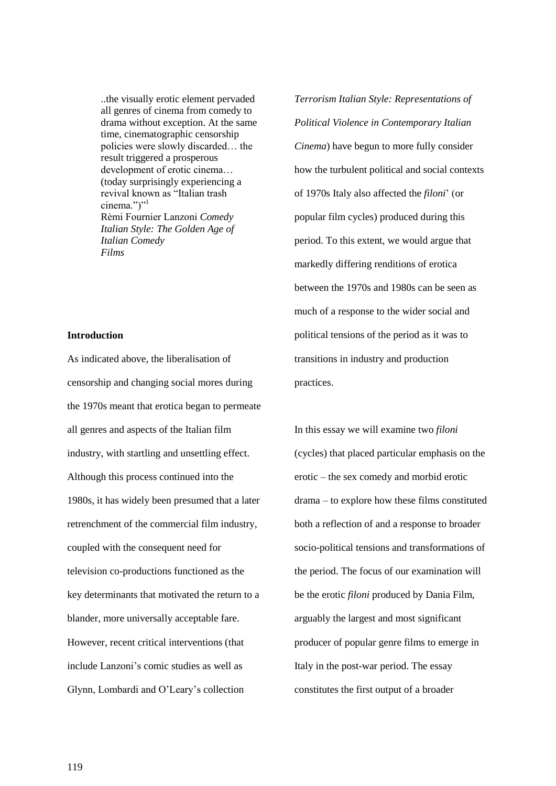..the visually erotic element pervaded all genres of cinema from comedy to drama without exception. At the same time, cinematographic censorship policies were slowly discarded… the result triggered a prosperous development of erotic cinema… (today surprisingly experiencing a revival known as "Italian trash cinema.")" $1$ Rėmi Fournier Lanzoni *Comedy Italian Style: The Golden Age of Italian Comedy Films*

#### **Introduction**

As indicated above, the liberalisation of censorship and changing social mores during the 1970s meant that erotica began to permeate all genres and aspects of the Italian film industry, with startling and unsettling effect. Although this process continued into the 1980s, it has widely been presumed that a later retrenchment of the commercial film industry, coupled with the consequent need for television co-productions functioned as the key determinants that motivated the return to a blander, more universally acceptable fare. However, recent critical interventions (that include Lanzoni's comic studies as well as Glynn, Lombardi and O'Leary's collection

*Terrorism Italian Style: Representations of Political Violence in Contemporary Italian Cinema*) have begun to more fully consider how the turbulent political and social contexts of 1970s Italy also affected the *filoni*' (or popular film cycles) produced during this period. To this extent, we would argue that markedly differing renditions of erotica between the 1970s and 1980s can be seen as much of a response to the wider social and political tensions of the period as it was to transitions in industry and production practices.

In this essay we will examine two *filoni* (cycles) that placed particular emphasis on the erotic – the sex comedy and morbid erotic drama – to explore how these films constituted both a reflection of and a response to broader socio-political tensions and transformations of the period. The focus of our examination will be the erotic *filoni* produced by Dania Film, arguably the largest and most significant producer of popular genre films to emerge in Italy in the post-war period. The essay constitutes the first output of a broader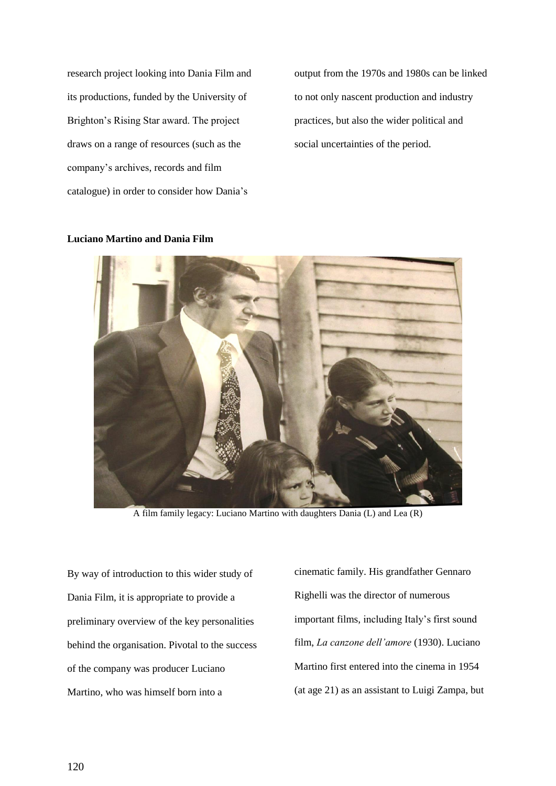research project looking into Dania Film and its productions, funded by the University of Brighton's Rising Star award. The project draws on a range of resources (such as the company's archives, records and film catalogue) in order to consider how Dania's

output from the 1970s and 1980s can be linked to not only nascent production and industry practices, but also the wider political and social uncertainties of the period.



### **Luciano Martino and Dania Film**

A film family legacy: Luciano Martino with daughters Dania (L) and Lea (R)

By way of introduction to this wider study of Dania Film, it is appropriate to provide a preliminary overview of the key personalities behind the organisation. Pivotal to the success of the company was producer Luciano Martino, who was himself born into a

cinematic family. His grandfather Gennaro Righelli was the director of numerous important films, including Italy's first sound film, *La canzone dell'amore* (1930). Luciano Martino first entered into the cinema in 1954 (at age 21) as an assistant to Luigi Zampa, but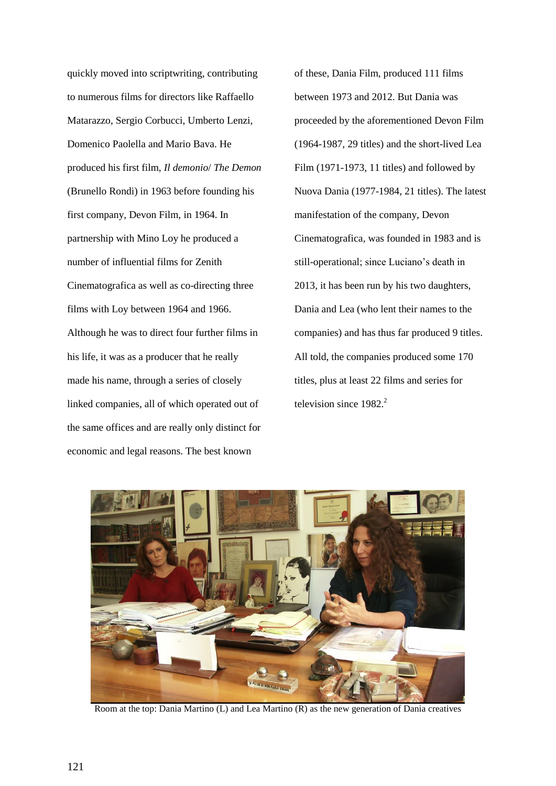quickly moved into scriptwriting, contributing to numerous films for directors like Raffaello Matarazzo, Sergio Corbucci, Umberto Lenzi, Domenico Paolella and Mario Bava. He produced his first film, *Il demonio*/ *The Demon* (Brunello Rondi) in 1963 before founding his first company, Devon Film, in 1964. In partnership with Mino Loy he produced a number of influential films for Zenith Cinematografica as well as co-directing three films with Loy between 1964 and 1966. Although he was to direct four further films in his life, it was as a producer that he really made his name, through a series of closely linked companies, all of which operated out of the same offices and are really only distinct for economic and legal reasons. The best known

of these, Dania Film, produced 111 films between 1973 and 2012. But Dania was proceeded by the aforementioned Devon Film (1964-1987, 29 titles) and the short-lived Lea Film (1971-1973, 11 titles) and followed by Nuova Dania (1977-1984, 21 titles). The latest manifestation of the company, Devon Cinematografica, was founded in 1983 and is still-operational; since Luciano's death in 2013, it has been run by his two daughters, Dania and Lea (who lent their names to the companies) and has thus far produced 9 titles. All told, the companies produced some 170 titles, plus at least 22 films and series for television since  $1982<sup>2</sup>$ 



Room at the top: Dania Martino (L) and Lea Martino (R) as the new generation of Dania creatives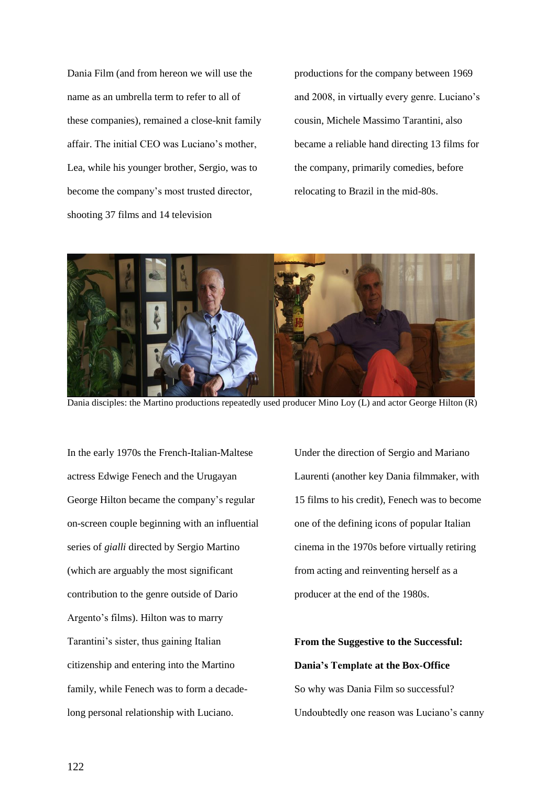Dania Film (and from hereon we will use the name as an umbrella term to refer to all of these companies), remained a close-knit family affair. The initial CEO was Luciano's mother, Lea, while his younger brother, Sergio, was to become the company's most trusted director, shooting 37 films and 14 television

productions for the company between 1969 and 2008, in virtually every genre. Luciano's cousin, Michele Massimo Tarantini, also became a reliable hand directing 13 films for the company, primarily comedies, before relocating to Brazil in the mid-80s.



Dania disciples: the Martino productions repeatedly used producer Mino Loy (L) and actor George Hilton (R)

In the early 1970s the French-Italian-Maltese actress Edwige Fenech and the Urugayan George Hilton became the company's regular on-screen couple beginning with an influential series of *gialli* directed by Sergio Martino (which are arguably the most significant contribution to the genre outside of Dario Argento's films). Hilton was to marry Tarantini's sister, thus gaining Italian citizenship and entering into the Martino family, while Fenech was to form a decadelong personal relationship with Luciano.

Under the direction of Sergio and Mariano Laurenti (another key Dania filmmaker, with 15 films to his credit), Fenech was to become one of the defining icons of popular Italian cinema in the 1970s before virtually retiring from acting and reinventing herself as a producer at the end of the 1980s.

**From the Suggestive to the Successful: Dania's Template at the Box-Office** So why was Dania Film so successful? Undoubtedly one reason was Luciano's canny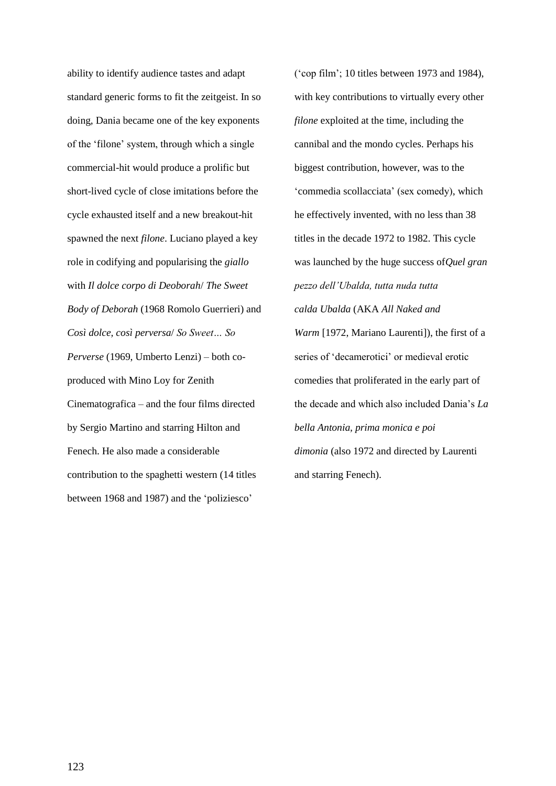ability to identify audience tastes and adapt standard generic forms to fit the zeitgeist. In so doing, Dania became one of the key exponents of the 'filone' system, through which a single commercial-hit would produce a prolific but short-lived cycle of close imitations before the cycle exhausted itself and a new breakout-hit spawned the next *filone*. Luciano played a key role in codifying and popularising the *giallo* with *Il dolce corpo di Deoborah*/ *The Sweet Body of Deborah* (1968 Romolo Guerrieri) and *Così dolce, così perversa*/ *So Sweet… So Perverse* (1969, Umberto Lenzi) – both coproduced with Mino Loy for Zenith Cinematografica – and the four films directed by Sergio Martino and starring Hilton and Fenech. He also made a considerable contribution to the spaghetti western (14 titles between 1968 and 1987) and the 'poliziesco'

('cop film'; 10 titles between 1973 and 1984), with key contributions to virtually every other *filone* exploited at the time, including the cannibal and the mondo cycles. Perhaps his biggest contribution, however, was to the 'commedia scollacciata' (sex comedy), which he effectively invented, with no less than 38 titles in the decade 1972 to 1982. This cycle was launched by the huge success of*Quel gran pezzo dell'Ubalda, tutta nuda tutta calda Ubalda* (AKA *All Naked and Warm* [1972, Mariano Laurenti]), the first of a series of 'decamerotici' or medieval erotic comedies that proliferated in the early part of the decade and which also included Dania's *La bella Antonia, prima monica e poi dimonia* (also 1972 and directed by Laurenti and starring Fenech).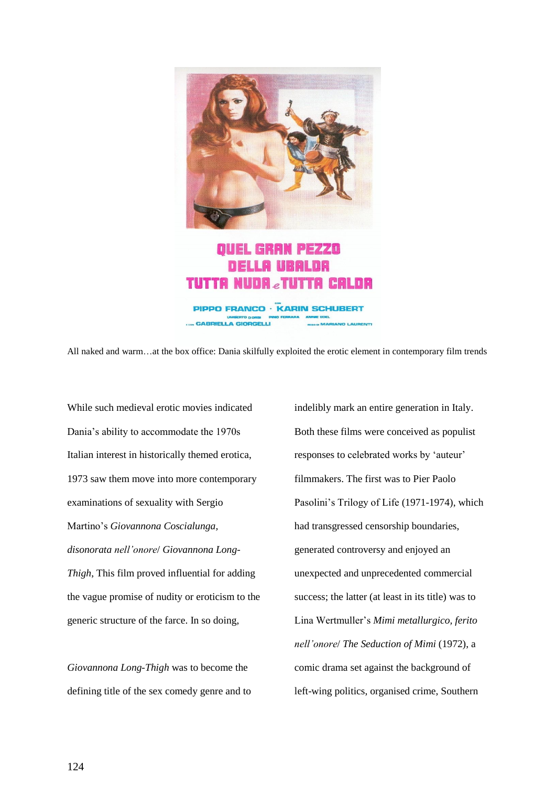

All naked and warm…at the box office: Dania skilfully exploited the erotic element in contemporary film trends

While such medieval erotic movies indicated Dania's ability to accommodate the 1970s Italian interest in historically themed erotica, 1973 saw them move into more contemporary examinations of sexuality with Sergio Martino's *Giovannona Coscialunga, disonorata nell'onore*/ *Giovannona Long-Thigh*, This film proved influential for adding the vague promise of nudity or eroticism to the generic structure of the farce. In so doing,

*Giovannona Long-Thigh* was to become the defining title of the sex comedy genre and to indelibly mark an entire generation in Italy. Both these films were conceived as populist responses to celebrated works by 'auteur' filmmakers. The first was to Pier Paolo Pasolini's Trilogy of Life (1971-1974), which had transgressed censorship boundaries, generated controversy and enjoyed an unexpected and unprecedented commercial success; the latter (at least in its title) was to Lina Wertmuller's *Mimi metallurgico, ferito nell'onore*/ *The Seduction of Mimi* (1972), a comic drama set against the background of left-wing politics, organised crime, Southern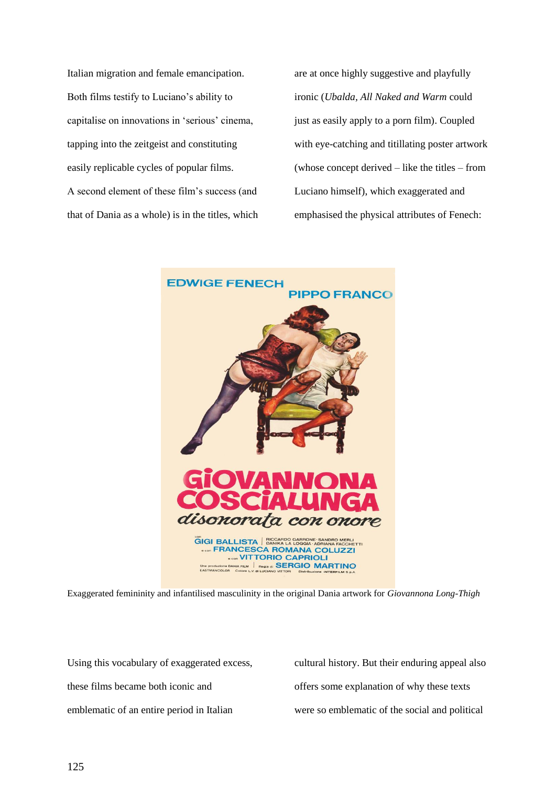Italian migration and female emancipation. Both films testify to Luciano's ability to capitalise on innovations in 'serious' cinema, tapping into the zeitgeist and constituting easily replicable cycles of popular films. A second element of these film's success (and that of Dania as a whole) is in the titles, which

are at once highly suggestive and playfully ironic (*Ubalda, All Naked and Warm* could just as easily apply to a porn film). Coupled with eye-catching and titillating poster artwork (whose concept derived – like the titles – from Luciano himself), which exaggerated and emphasised the physical attributes of Fenech:



Exaggerated femininity and infantilised masculinity in the original Dania artwork for *Giovannona Long-Thigh*

Using this vocabulary of exaggerated excess, these films became both iconic and emblematic of an entire period in Italian

cultural history. But their enduring appeal also offers some explanation of why these texts were so emblematic of the social and political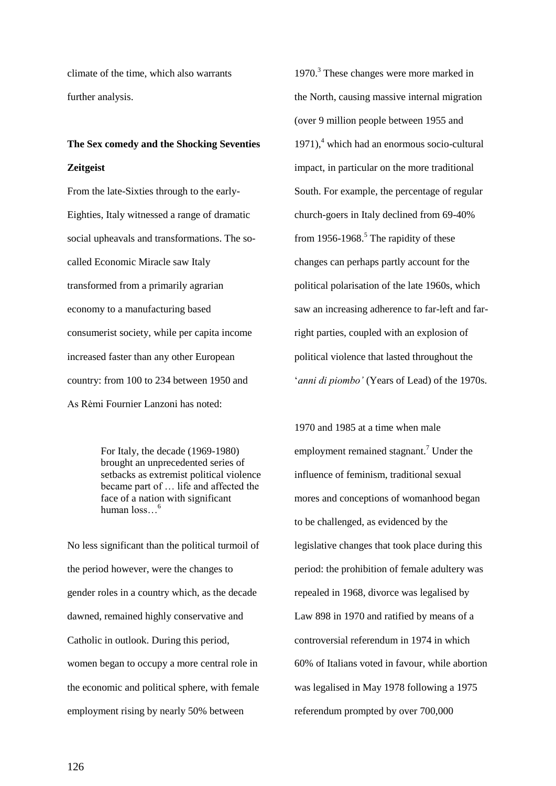climate of the time, which also warrants further analysis.

# **The Sex comedy and the Shocking Seventies**

## **Zeitgeist**

From the late-Sixties through to the early-Eighties, Italy witnessed a range of dramatic social upheavals and transformations. The socalled Economic Miracle saw Italy transformed from a primarily agrarian economy to a manufacturing based consumerist society, while per capita income increased faster than any other European country: from 100 to 234 between 1950 and As Rėmi Fournier Lanzoni has noted:

> For Italy, the decade (1969-1980) brought an unprecedented series of setbacks as extremist political violence became part of … life and affected the face of a nation with significant human loss…<sup>6</sup>

No less significant than the political turmoil of the period however, were the changes to gender roles in a country which, as the decade dawned, remained highly conservative and Catholic in outlook. During this period, women began to occupy a more central role in the economic and political sphere, with female employment rising by nearly 50% between

1970.<sup>3</sup> These changes were more marked in the North, causing massive internal migration (over 9 million people between 1955 and  $1971$ , which had an enormous socio-cultural impact, in particular on the more traditional South. For example, the percentage of regular church-goers in Italy declined from 69-40% from 1956-1968.<sup>5</sup> The rapidity of these changes can perhaps partly account for the political polarisation of the late 1960s, which saw an increasing adherence to far-left and farright parties, coupled with an explosion of political violence that lasted throughout the '*anni di piombo'* (Years of Lead) of the 1970s.

1970 and 1985 at a time when male employment remained stagnant.<sup>7</sup> Under the influence of feminism, traditional sexual mores and conceptions of womanhood began to be challenged, as evidenced by the legislative changes that took place during this period: the prohibition of female adultery was repealed in 1968, divorce was legalised by Law 898 in 1970 and ratified by means of a controversial referendum in 1974 in which 60% of Italians voted in favour, while abortion was legalised in May 1978 following a 1975 referendum prompted by over 700,000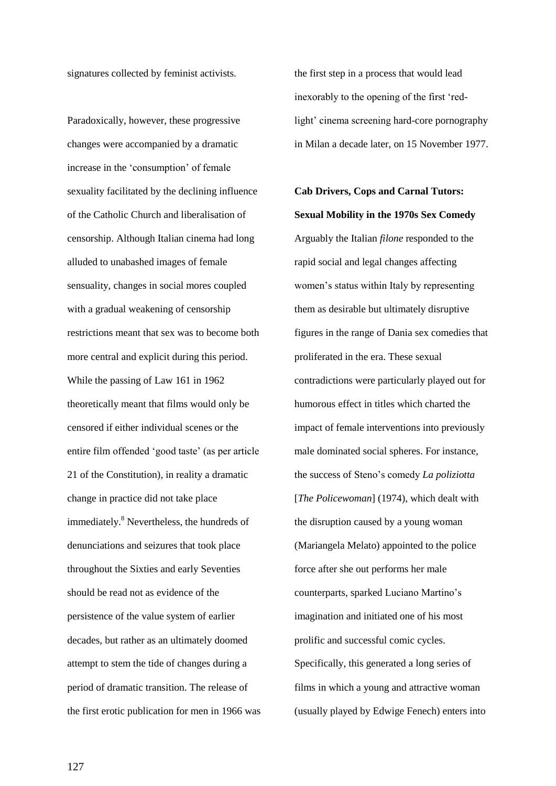signatures collected by feminist activists.

Paradoxically, however, these progressive changes were accompanied by a dramatic increase in the 'consumption' of female sexuality facilitated by the declining influence of the Catholic Church and liberalisation of censorship. Although Italian cinema had long alluded to unabashed images of female sensuality, changes in social mores coupled with a gradual weakening of censorship restrictions meant that sex was to become both more central and explicit during this period. While the passing of Law 161 in 1962 theoretically meant that films would only be censored if either individual scenes or the entire film offended 'good taste' (as per article 21 of the Constitution), in reality a dramatic change in practice did not take place immediately.<sup>8</sup> Nevertheless, the hundreds of denunciations and seizures that took place throughout the Sixties and early Seventies should be read not as evidence of the persistence of the value system of earlier decades, but rather as an ultimately doomed attempt to stem the tide of changes during a period of dramatic transition. The release of the first erotic publication for men in 1966 was the first step in a process that would lead inexorably to the opening of the first 'redlight' cinema screening hard-core pornography in Milan a decade later, on 15 November 1977.

**Cab Drivers, Cops and Carnal Tutors: Sexual Mobility in the 1970s Sex Comedy** Arguably the Italian *filone* responded to the rapid social and legal changes affecting women's status within Italy by representing them as desirable but ultimately disruptive figures in the range of Dania sex comedies that proliferated in the era. These sexual contradictions were particularly played out for humorous effect in titles which charted the impact of female interventions into previously male dominated social spheres. For instance, the success of Steno's comedy *La poliziotta* [*The Policewoman*] (1974), which dealt with the disruption caused by a young woman (Mariangela Melato) appointed to the police force after she out performs her male counterparts, sparked Luciano Martino's imagination and initiated one of his most prolific and successful comic cycles. Specifically, this generated a long series of films in which a young and attractive woman (usually played by Edwige Fenech) enters into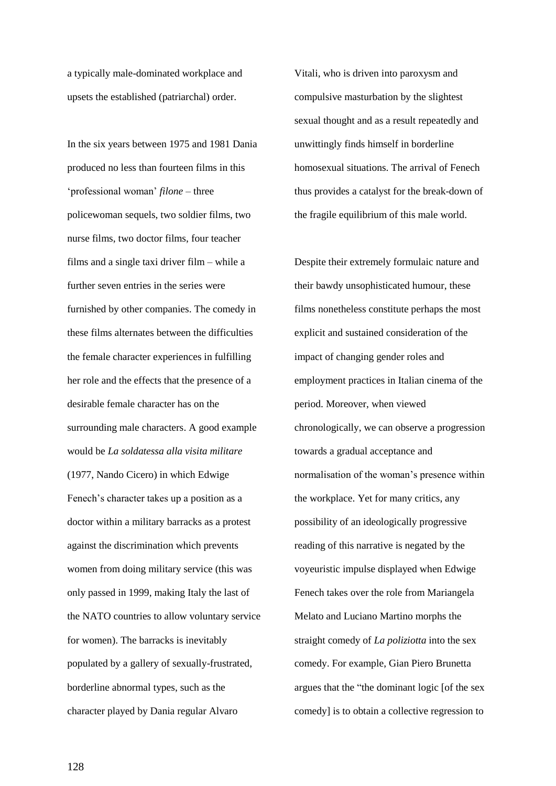a typically male-dominated workplace and upsets the established (patriarchal) order.

In the six years between 1975 and 1981 Dania produced no less than fourteen films in this 'professional woman' *filone* – three policewoman sequels, two soldier films, two nurse films, two doctor films, four teacher films and a single taxi driver film – while a further seven entries in the series were furnished by other companies. The comedy in these films alternates between the difficulties the female character experiences in fulfilling her role and the effects that the presence of a desirable female character has on the surrounding male characters. A good example would be *La soldatessa alla visita militare* (1977, Nando Cicero) in which Edwige Fenech's character takes up a position as a doctor within a military barracks as a protest against the discrimination which prevents women from doing military service (this was only passed in 1999, making Italy the last of the NATO countries to allow voluntary service for women). The barracks is inevitably populated by a gallery of sexually-frustrated, borderline abnormal types, such as the character played by Dania regular Alvaro

Vitali, who is driven into paroxysm and compulsive masturbation by the slightest sexual thought and as a result repeatedly and unwittingly finds himself in borderline homosexual situations. The arrival of Fenech thus provides a catalyst for the break-down of the fragile equilibrium of this male world.

Despite their extremely formulaic nature and their bawdy unsophisticated humour, these films nonetheless constitute perhaps the most explicit and sustained consideration of the impact of changing gender roles and employment practices in Italian cinema of the period. Moreover, when viewed chronologically, we can observe a progression towards a gradual acceptance and normalisation of the woman's presence within the workplace. Yet for many critics, any possibility of an ideologically progressive reading of this narrative is negated by the voyeuristic impulse displayed when Edwige Fenech takes over the role from Mariangela Melato and Luciano Martino morphs the straight comedy of *La poliziotta* into the sex comedy. For example, Gian Piero Brunetta argues that the "the dominant logic [of the sex comedy] is to obtain a collective regression to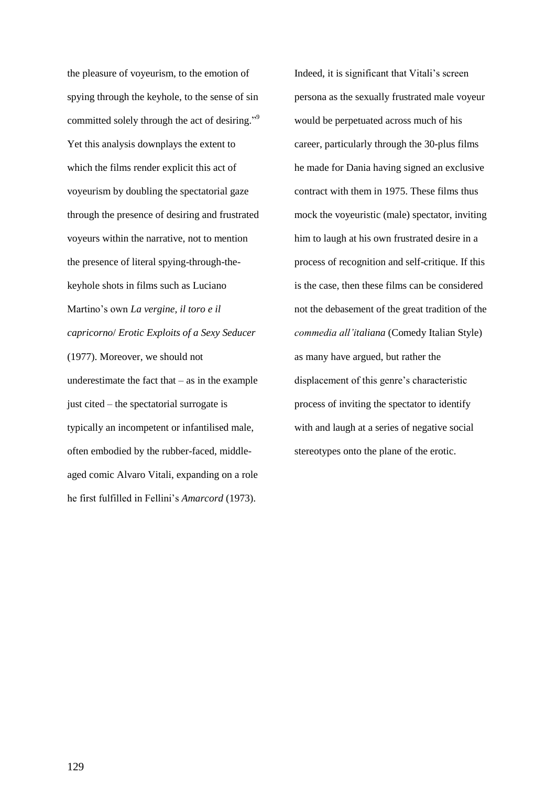the pleasure of voyeurism, to the emotion of spying through the keyhole, to the sense of sin committed solely through the act of desiring."<sup>9</sup> Yet this analysis downplays the extent to which the films render explicit this act of voyeurism by doubling the spectatorial gaze through the presence of desiring and frustrated voyeurs within the narrative, not to mention the presence of literal spying-through-thekeyhole shots in films such as Luciano Martino's own *La vergine, il toro e il capricorno*/ *Erotic Exploits of a Sexy Seducer* (1977). Moreover, we should not underestimate the fact that  $-$  as in the example just cited – the spectatorial surrogate is typically an incompetent or infantilised male, often embodied by the rubber-faced, middleaged comic Alvaro Vitali, expanding on a role he first fulfilled in Fellini's *Amarcord* (1973).

Indeed, it is significant that Vitali's screen persona as the sexually frustrated male voyeur would be perpetuated across much of his career, particularly through the 30-plus films he made for Dania having signed an exclusive contract with them in 1975. These films thus mock the voyeuristic (male) spectator, inviting him to laugh at his own frustrated desire in a process of recognition and self-critique. If this is the case, then these films can be considered not the debasement of the great tradition of the *commedia all'italiana* (Comedy Italian Style) as many have argued, but rather the displacement of this genre's characteristic process of inviting the spectator to identify with and laugh at a series of negative social stereotypes onto the plane of the erotic.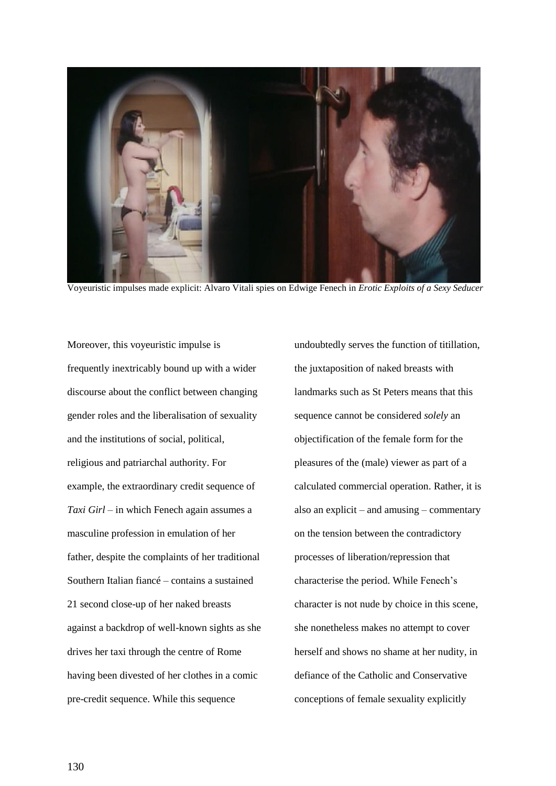

Voyeuristic impulses made explicit: Alvaro Vitali spies on Edwige Fenech in *Erotic Exploits of a Sexy Seducer*

Moreover, this voyeuristic impulse is frequently inextricably bound up with a wider discourse about the conflict between changing gender roles and the liberalisation of sexuality and the institutions of social, political, religious and patriarchal authority. For example, the extraordinary credit sequence of *Taxi Girl* – in which Fenech again assumes a masculine profession in emulation of her father, despite the complaints of her traditional Southern Italian fiancé – contains a sustained 21 second close-up of her naked breasts against a backdrop of well-known sights as she drives her taxi through the centre of Rome having been divested of her clothes in a comic pre-credit sequence. While this sequence

undoubtedly serves the function of titillation, the juxtaposition of naked breasts with landmarks such as St Peters means that this sequence cannot be considered *solely* an objectification of the female form for the pleasures of the (male) viewer as part of a calculated commercial operation. Rather, it is also an explicit – and amusing – commentary on the tension between the contradictory processes of liberation/repression that characterise the period. While Fenech's character is not nude by choice in this scene, she nonetheless makes no attempt to cover herself and shows no shame at her nudity, in defiance of the Catholic and Conservative conceptions of female sexuality explicitly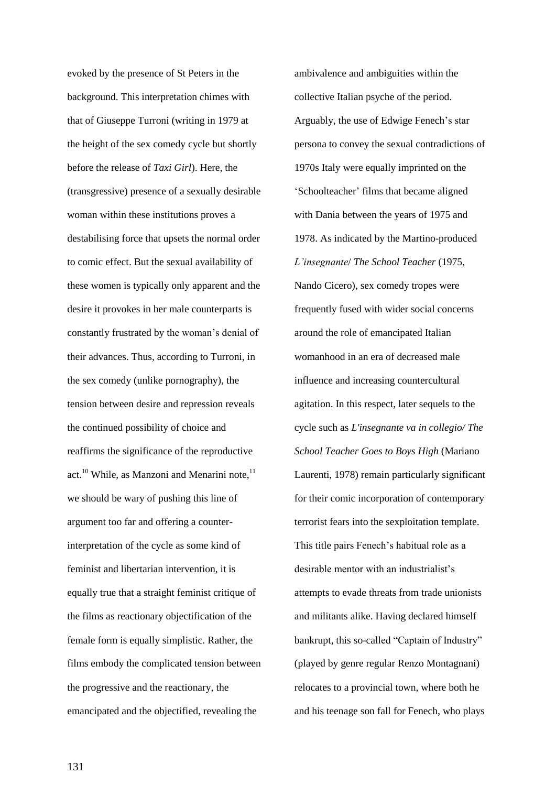evoked by the presence of St Peters in the background. This interpretation chimes with that of Giuseppe Turroni (writing in 1979 at the height of the sex comedy cycle but shortly before the release of *Taxi Girl*). Here, the (transgressive) presence of a sexually desirable woman within these institutions proves a destabilising force that upsets the normal order to comic effect. But the sexual availability of these women is typically only apparent and the desire it provokes in her male counterparts is constantly frustrated by the woman's denial of their advances. Thus, according to Turroni, in the sex comedy (unlike pornography), the tension between desire and repression reveals the continued possibility of choice and reaffirms the significance of the reproductive act.<sup>10</sup> While, as Manzoni and Menarini note, $11$ we should be wary of pushing this line of argument too far and offering a counterinterpretation of the cycle as some kind of feminist and libertarian intervention, it is equally true that a straight feminist critique of the films as reactionary objectification of the female form is equally simplistic. Rather, the films embody the complicated tension between the progressive and the reactionary, the emancipated and the objectified, revealing the

ambivalence and ambiguities within the collective Italian psyche of the period. Arguably, the use of Edwige Fenech's star persona to convey the sexual contradictions of 1970s Italy were equally imprinted on the 'Schoolteacher' films that became aligned with Dania between the years of 1975 and 1978. As indicated by the Martino-produced *L'insegnante*/ *The School Teacher* (1975, Nando Cicero), sex comedy tropes were frequently fused with wider social concerns around the role of emancipated Italian womanhood in an era of decreased male influence and increasing countercultural agitation. In this respect, later sequels to the cycle such as *L'insegnante va in collegio/ The School Teacher Goes to Boys High* (Mariano Laurenti, 1978) remain particularly significant for their comic incorporation of contemporary terrorist fears into the sexploitation template. This title pairs Fenech's habitual role as a desirable mentor with an industrialist's attempts to evade threats from trade unionists and militants alike. Having declared himself bankrupt, this so-called "Captain of Industry" (played by genre regular Renzo Montagnani) relocates to a provincial town, where both he and his teenage son fall for Fenech, who plays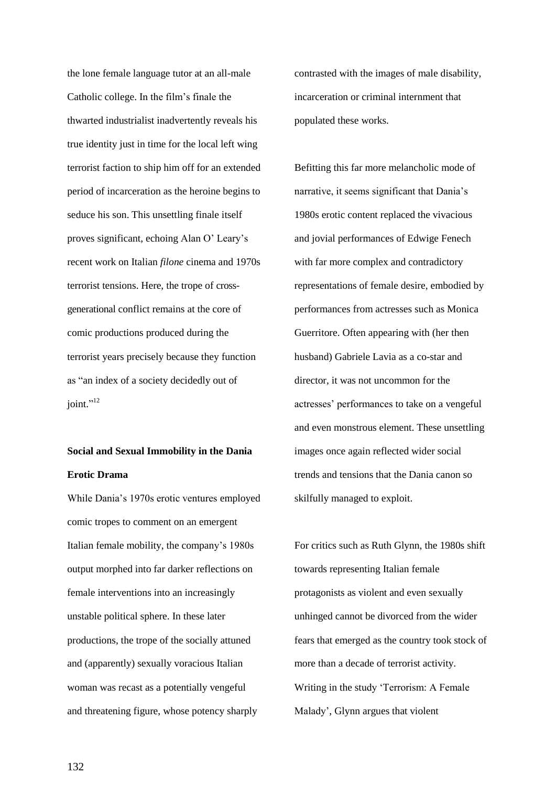the lone female language tutor at an all-male Catholic college. In the film's finale the thwarted industrialist inadvertently reveals his true identity just in time for the local left wing terrorist faction to ship him off for an extended period of incarceration as the heroine begins to seduce his son. This unsettling finale itself proves significant, echoing Alan O' Leary's recent work on Italian *filone* cinema and 1970s terrorist tensions. Here, the trope of crossgenerational conflict remains at the core of comic productions produced during the terrorist years precisely because they function as "an index of a society decidedly out of joint."<sup>12</sup>

# **Social and Sexual Immobility in the Dania Erotic Drama**

While Dania's 1970s erotic ventures employed comic tropes to comment on an emergent Italian female mobility, the company's 1980s output morphed into far darker reflections on female interventions into an increasingly unstable political sphere. In these later productions, the trope of the socially attuned and (apparently) sexually voracious Italian woman was recast as a potentially vengeful and threatening figure, whose potency sharply

contrasted with the images of male disability, incarceration or criminal internment that populated these works.

Befitting this far more melancholic mode of narrative, it seems significant that Dania's 1980s erotic content replaced the vivacious and jovial performances of Edwige Fenech with far more complex and contradictory representations of female desire, embodied by performances from actresses such as Monica Guerritore. Often appearing with (her then husband) Gabriele Lavia as a co-star and director, it was not uncommon for the actresses' performances to take on a vengeful and even monstrous element. These unsettling images once again reflected wider social trends and tensions that the Dania canon so skilfully managed to exploit.

For critics such as Ruth Glynn, the 1980s shift towards representing Italian female protagonists as violent and even sexually unhinged cannot be divorced from the wider fears that emerged as the country took stock of more than a decade of terrorist activity. Writing in the study 'Terrorism: A Female Malady', Glynn argues that violent

132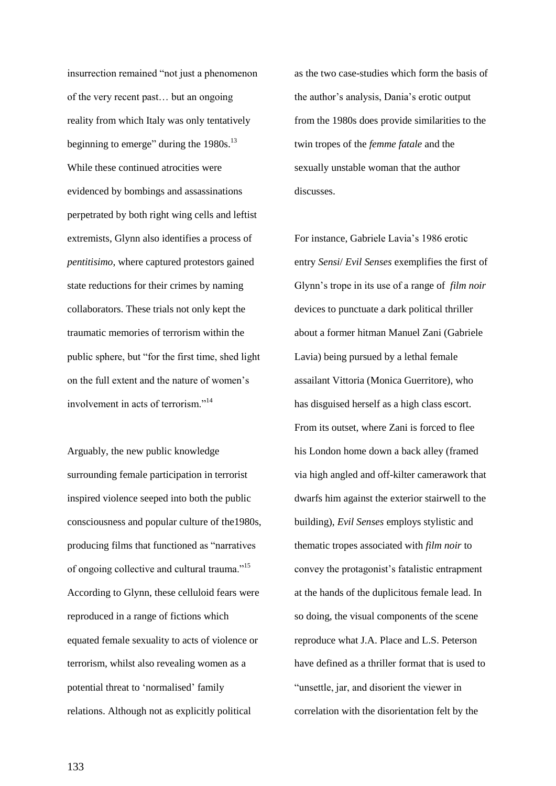insurrection remained "not just a phenomenon of the very recent past… but an ongoing reality from which Italy was only tentatively beginning to emerge" during the 1980s.<sup>13</sup> While these continued atrocities were evidenced by bombings and assassinations perpetrated by both right wing cells and leftist extremists, Glynn also identifies a process of *pentitisimo*, where captured protestors gained state reductions for their crimes by naming collaborators. These trials not only kept the traumatic memories of terrorism within the public sphere, but "for the first time, shed light on the full extent and the nature of women's involvement in acts of terrorism."<sup>14</sup>

Arguably, the new public knowledge surrounding female participation in terrorist inspired violence seeped into both the public consciousness and popular culture of the1980s, producing films that functioned as "narratives of ongoing collective and cultural trauma."<sup>15</sup> According to Glynn, these celluloid fears were reproduced in a range of fictions which equated female sexuality to acts of violence or terrorism, whilst also revealing women as a potential threat to 'normalised' family relations. Although not as explicitly political

as the two case-studies which form the basis of the author's analysis, Dania's erotic output from the 1980s does provide similarities to the twin tropes of the *femme fatale* and the sexually unstable woman that the author discusses.

For instance, Gabriele Lavia's 1986 erotic entry *Sensi*/ *Evil Senses* exemplifies the first of Glynn's trope in its use of a range of *film noir* devices to punctuate a dark political thriller about a former hitman Manuel Zani (Gabriele Lavia) being pursued by a lethal female assailant Vittoria (Monica Guerritore), who has disguised herself as a high class escort. From its outset, where Zani is forced to flee his London home down a back alley (framed via high angled and off-kilter camerawork that dwarfs him against the exterior stairwell to the building), *Evil Senses* employs stylistic and thematic tropes associated with *film noir* to convey the protagonist's fatalistic entrapment at the hands of the duplicitous female lead. In so doing, the visual components of the scene reproduce what J.A. Place and L.S. Peterson have defined as a thriller format that is used to "unsettle, jar, and disorient the viewer in correlation with the disorientation felt by the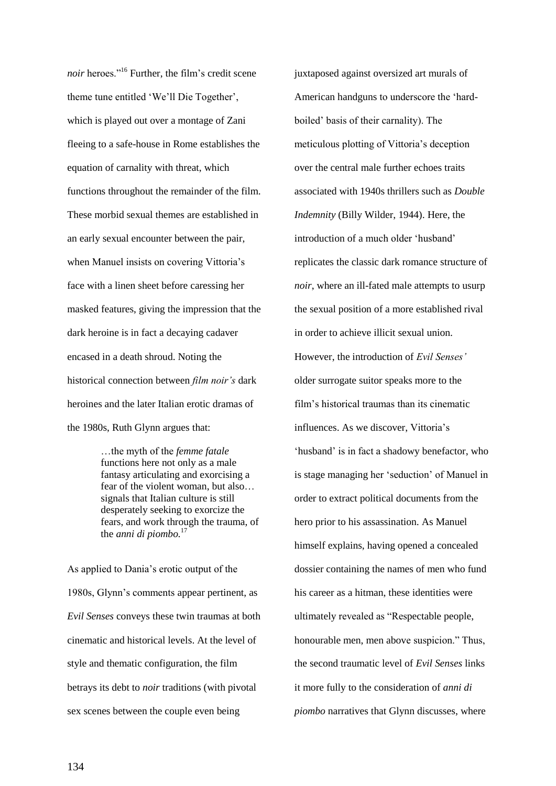*noir* heroes."<sup>16</sup> Further, the film's credit scene theme tune entitled 'We'll Die Together', which is played out over a montage of Zani fleeing to a safe-house in Rome establishes the equation of carnality with threat, which functions throughout the remainder of the film. These morbid sexual themes are established in an early sexual encounter between the pair, when Manuel insists on covering Vittoria's face with a linen sheet before caressing her masked features, giving the impression that the dark heroine is in fact a decaying cadaver encased in a death shroud. Noting the historical connection between *film noir's* dark heroines and the later Italian erotic dramas of the 1980s, Ruth Glynn argues that:

> …the myth of the *femme fatale* functions here not only as a male fantasy articulating and exorcising a fear of the violent woman, but also… signals that Italian culture is still desperately seeking to exorcize the fears, and work through the trauma, of the *anni di piombo.*<sup>17</sup>

As applied to Dania's erotic output of the 1980s, Glynn's comments appear pertinent, as *Evil Senses* conveys these twin traumas at both cinematic and historical levels. At the level of style and thematic configuration, the film betrays its debt to *noir* traditions (with pivotal sex scenes between the couple even being

juxtaposed against oversized art murals of American handguns to underscore the 'hardboiled' basis of their carnality). The meticulous plotting of Vittoria's deception over the central male further echoes traits associated with 1940s thrillers such as *Double Indemnity* (Billy Wilder, 1944). Here, the introduction of a much older 'husband' replicates the classic dark romance structure of *noir*, where an ill-fated male attempts to usurp the sexual position of a more established rival in order to achieve illicit sexual union. However, the introduction of *Evil Senses'* older surrogate suitor speaks more to the film's historical traumas than its cinematic influences. As we discover, Vittoria's 'husband' is in fact a shadowy benefactor, who is stage managing her 'seduction' of Manuel in order to extract political documents from the hero prior to his assassination. As Manuel himself explains, having opened a concealed dossier containing the names of men who fund his career as a hitman, these identities were ultimately revealed as "Respectable people, honourable men, men above suspicion." Thus, the second traumatic level of *Evil Senses* links it more fully to the consideration of *anni di piombo* narratives that Glynn discusses, where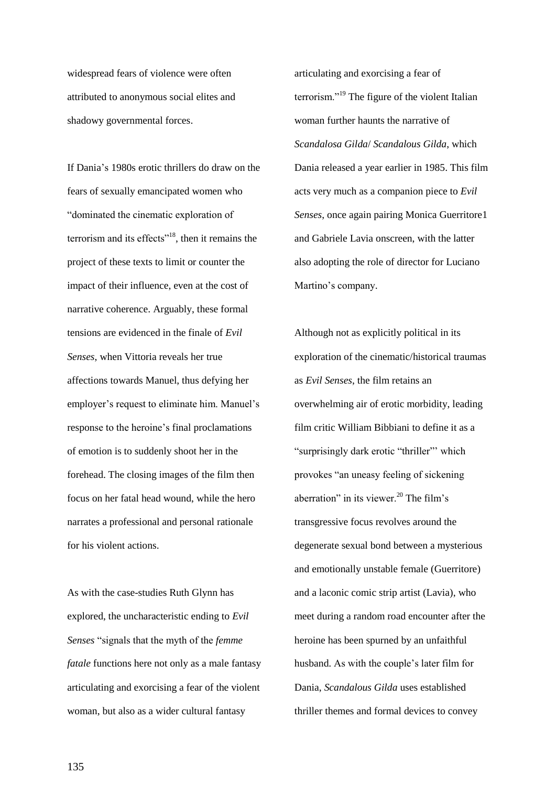widespread fears of violence were often attributed to anonymous social elites and shadowy governmental forces.

If Dania's 1980s erotic thrillers do draw on the fears of sexually emancipated women who "dominated the cinematic exploration of terrorism and its effects"<sup>18</sup>, then it remains the project of these texts to limit or counter the impact of their influence, even at the cost of narrative coherence. Arguably, these formal tensions are evidenced in the finale of *Evil Senses*, when Vittoria reveals her true affections towards Manuel, thus defying her employer's request to eliminate him. Manuel's response to the heroine's final proclamations of emotion is to suddenly shoot her in the forehead. The closing images of the film then focus on her fatal head wound, while the hero narrates a professional and personal rationale for his violent actions.

As with the case-studies Ruth Glynn has explored, the uncharacteristic ending to *Evil Senses* "signals that the myth of the *femme fatale* functions here not only as a male fantasy articulating and exorcising a fear of the violent woman, but also as a wider cultural fantasy

articulating and exorcising a fear of terrorism."<sup>19</sup> The figure of the violent Italian woman further haunts the narrative of *Scandalosa Gilda*/ *Scandalous Gilda*, which Dania released a year earlier in 1985. This film acts very much as a companion piece to *Evil Senses*, once again pairing Monica Guerritore1 and Gabriele Lavia onscreen, with the latter also adopting the role of director for Luciano Martino's company.

Although not as explicitly political in its exploration of the cinematic/historical traumas as *Evil Senses*, the film retains an overwhelming air of erotic morbidity, leading film critic William Bibbiani to define it as a "surprisingly dark erotic "thriller"' which provokes "an uneasy feeling of sickening aberration" in its viewer.<sup>20</sup> The film's transgressive focus revolves around the degenerate sexual bond between a mysterious and emotionally unstable female (Guerritore) and a laconic comic strip artist (Lavia), who meet during a random road encounter after the heroine has been spurned by an unfaithful husband. As with the couple's later film for Dania, *Scandalous Gilda* uses established thriller themes and formal devices to convey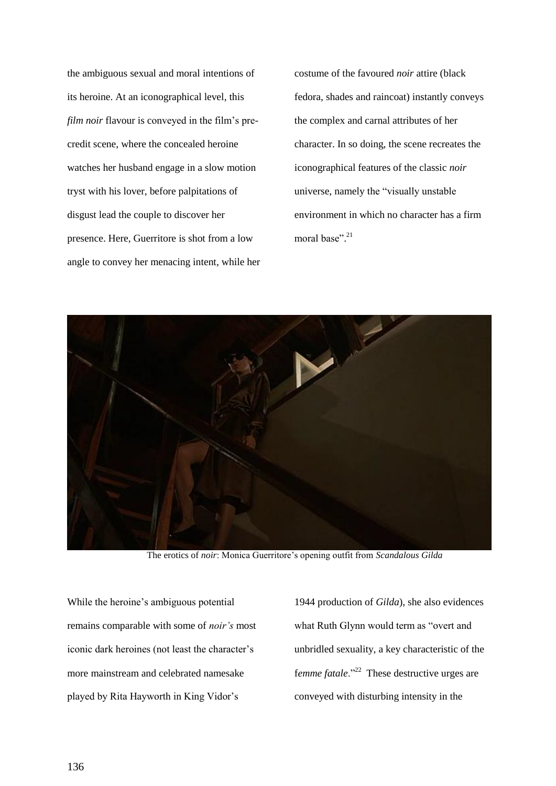the ambiguous sexual and moral intentions of its heroine. At an iconographical level, this *film noir* flavour is conveyed in the film's precredit scene, where the concealed heroine watches her husband engage in a slow motion tryst with his lover, before palpitations of disgust lead the couple to discover her presence. Here, Guerritore is shot from a low angle to convey her menacing intent, while her costume of the favoured *noir* attire (black fedora, shades and raincoat) instantly conveys the complex and carnal attributes of her character. In so doing, the scene recreates the iconographical features of the classic *noir* universe, namely the "visually unstable environment in which no character has a firm moral base". 21



The erotics of *noir*: Monica Guerritore's opening outfit from *Scandalous Gilda*

While the heroine's ambiguous potential remains comparable with some of *noir's* most iconic dark heroines (not least the character's more mainstream and celebrated namesake played by Rita Hayworth in King Vidor's

1944 production of *Gilda*), she also evidences what Ruth Glynn would term as "overt and unbridled sexuality, a key characteristic of the f*emme fatale*."<sup>22</sup> These destructive urges are conveyed with disturbing intensity in the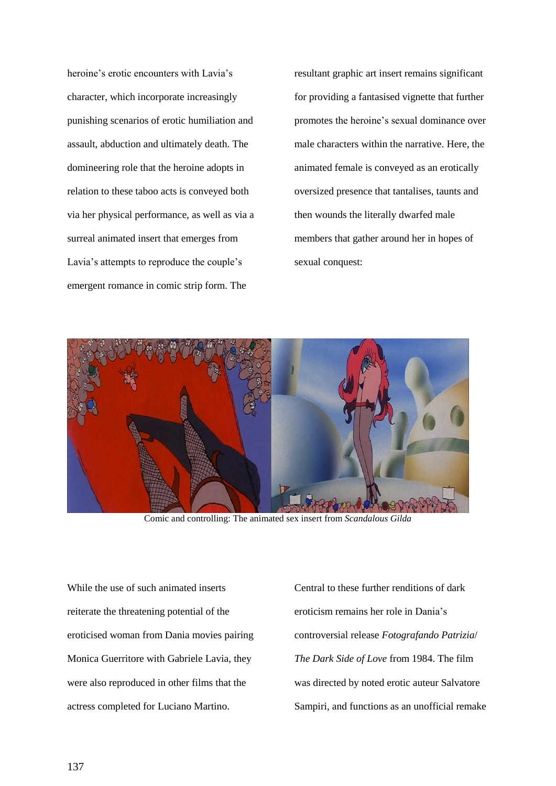heroine's erotic encounters with Lavia's character, which incorporate increasingly punishing scenarios of erotic humiliation and assault, abduction and ultimately death. The domineering role that the heroine adopts in relation to these taboo acts is conveyed both via her physical performance, as well as via a surreal animated insert that emerges from Lavia's attempts to reproduce the couple's emergent romance in comic strip form. The

resultant graphic art insert remains significant for providing a fantasised vignette that further promotes the heroine's sexual dominance over male characters within the narrative. Here, the animated female is conveyed as an erotically oversized presence that tantalises, taunts and then wounds the literally dwarfed male members that gather around her in hopes of sexual conquest:



Comic and controlling: The animated sex insert from *Scandalous Gilda*

While the use of such animated inserts reiterate the threatening potential of the eroticised woman from Dania movies pairing Monica Guerritore with Gabriele Lavia, they were also reproduced in other films that the actress completed for Luciano Martino.

Central to these further renditions of dark eroticism remains her role in Dania's controversial release *Fotografando Patrizia*/ *The Dark Side of Love* from 1984. The film was directed by noted erotic auteur Salvatore Sampiri, and functions as an unofficial remake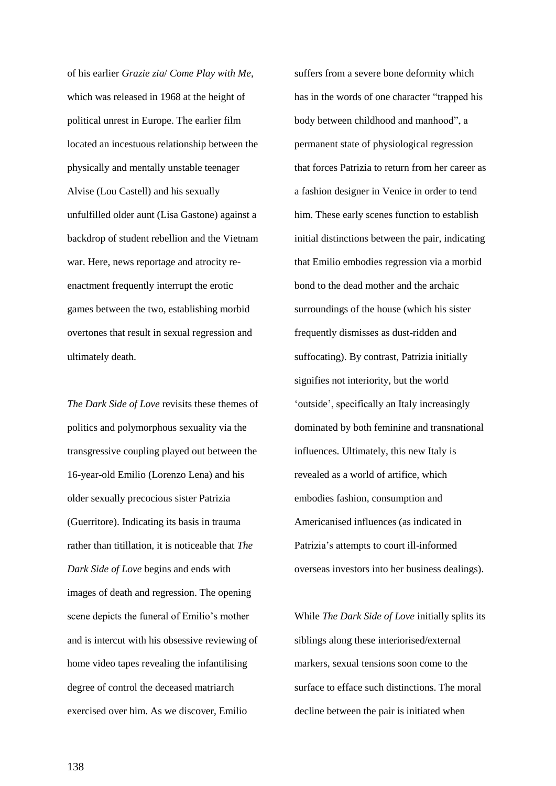of his earlier *Grazie zia*/ *Come Play with Me*, which was released in 1968 at the height of political unrest in Europe. The earlier film located an incestuous relationship between the physically and mentally unstable teenager Alvise (Lou Castell) and his sexually unfulfilled older aunt (Lisa Gastone) against a backdrop of student rebellion and the Vietnam war. Here, news reportage and atrocity reenactment frequently interrupt the erotic games between the two, establishing morbid overtones that result in sexual regression and ultimately death.

*The Dark Side of Love* revisits these themes of politics and polymorphous sexuality via the transgressive coupling played out between the 16-year-old Emilio (Lorenzo Lena) and his older sexually precocious sister Patrizia (Guerritore). Indicating its basis in trauma rather than titillation, it is noticeable that *The Dark Side of Love* begins and ends with images of death and regression. The opening scene depicts the funeral of Emilio's mother and is intercut with his obsessive reviewing of home video tapes revealing the infantilising degree of control the deceased matriarch exercised over him. As we discover, Emilio

suffers from a severe bone deformity which has in the words of one character "trapped his body between childhood and manhood", a permanent state of physiological regression that forces Patrizia to return from her career as a fashion designer in Venice in order to tend him. These early scenes function to establish initial distinctions between the pair, indicating that Emilio embodies regression via a morbid bond to the dead mother and the archaic surroundings of the house (which his sister frequently dismisses as dust-ridden and suffocating). By contrast, Patrizia initially signifies not interiority, but the world 'outside', specifically an Italy increasingly dominated by both feminine and transnational influences. Ultimately, this new Italy is revealed as a world of artifice, which embodies fashion, consumption and Americanised influences (as indicated in Patrizia's attempts to court ill-informed overseas investors into her business dealings).

While *The Dark Side of Love* initially splits its siblings along these interiorised/external markers, sexual tensions soon come to the surface to efface such distinctions. The moral decline between the pair is initiated when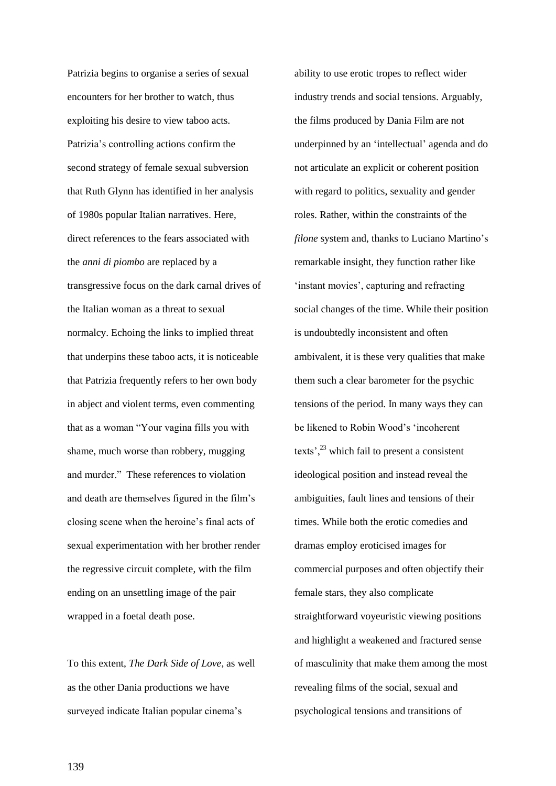Patrizia begins to organise a series of sexual encounters for her brother to watch, thus exploiting his desire to view taboo acts. Patrizia's controlling actions confirm the second strategy of female sexual subversion that Ruth Glynn has identified in her analysis of 1980s popular Italian narratives. Here, direct references to the fears associated with the *anni di piombo* are replaced by a transgressive focus on the dark carnal drives of the Italian woman as a threat to sexual normalcy. Echoing the links to implied threat that underpins these taboo acts, it is noticeable that Patrizia frequently refers to her own body in abject and violent terms, even commenting that as a woman "Your vagina fills you with shame, much worse than robbery, mugging and murder." These references to violation and death are themselves figured in the film's closing scene when the heroine's final acts of sexual experimentation with her brother render the regressive circuit complete, with the film ending on an unsettling image of the pair wrapped in a foetal death pose.

To this extent, *The Dark Side of Love*, as well as the other Dania productions we have surveyed indicate Italian popular cinema's

ability to use erotic tropes to reflect wider industry trends and social tensions. Arguably, the films produced by Dania Film are not underpinned by an 'intellectual' agenda and do not articulate an explicit or coherent position with regard to politics, sexuality and gender roles. Rather, within the constraints of the *filone* system and, thanks to Luciano Martino's remarkable insight, they function rather like 'instant movies', capturing and refracting social changes of the time. While their position is undoubtedly inconsistent and often ambivalent, it is these very qualities that make them such a clear barometer for the psychic tensions of the period. In many ways they can be likened to Robin Wood's 'incoherent texts<sup>', 23</sup> which fail to present a consistent ideological position and instead reveal the ambiguities, fault lines and tensions of their times. While both the erotic comedies and dramas employ eroticised images for commercial purposes and often objectify their female stars, they also complicate straightforward voyeuristic viewing positions and highlight a weakened and fractured sense of masculinity that make them among the most revealing films of the social, sexual and psychological tensions and transitions of

139